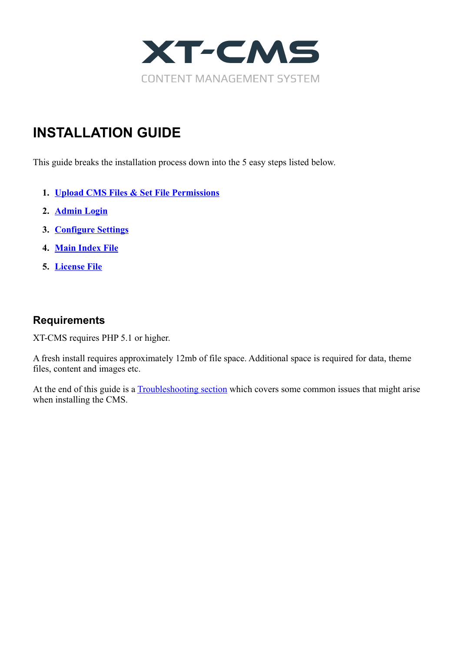

# **INSTALLATION GUIDE**

This guide breaks the installation process down into the 5 easy steps listed below.

- **1. [Upload CMS Files & Set File Permissions](#page-1-0)**
- **2. [Admin Login](#page-2-0)**
- **3. [Configure Settings](#page-3-0)**
- **4. [Main Index File](#page-4-0)**
- **5. [License File](#page-5-0)**

#### **Requirements**

XT-CMS requires PHP 5.1 or higher.

A fresh install requires approximately 12mb of file space. Additional space is required for data, theme files, content and images etc.

At the end of this guide is a **Troubleshooting section** which covers some common issues that might arise when installing the CMS.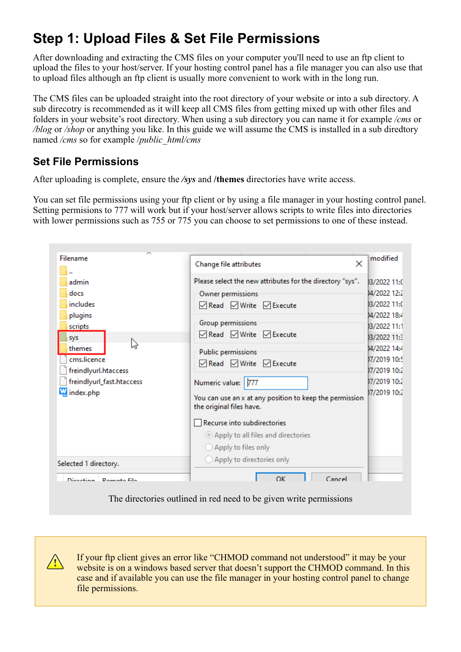# <span id="page-1-0"></span>**Step 1: Upload Files & Set File Permissions**

After downloading and extracting the CMS files on your computer you'll need to use an ftp client to upload the files to your host/server. If your hosting control panel has a file manager you can also use that to upload files although an ftp client is usually more convenient to work with in the long run.

The CMS files can be uploaded straight into the root directory of your website or into a sub directory. A sub direcotry is recommended as it will keep all CMS files from getting mixed up with other files and folders in your website's root directory. When using a sub directory you can name it for example */cms* or */blog* or */shop* or anything you like. In this guide we will assume the CMS is installed in a sub diredtory named */cms* so for example /*public\_html/cms*

## **Set File Permissions**

After uploading is complete, ensure the */sys* and **/themes** directories have write access.

You can set file permissions using your ftp client or by using a file manager in your hosting control panel. Setting permisions to 777 will work but if your host/server allows scripts to write files into directories with lower permissions such as 755 or 775 you can choose to set permissions to one of these instead.

| Filename<br>admin<br>docs<br>includes<br>plugins<br>scripts<br>sys<br>ぺ<br>themes<br>cms.licence<br>freindlyurl.htaccess<br>freindlyurl_fast.htaccess<br>index.php | $\times$<br>Change file attributes<br>Please select the new attributes for the directory "sys".<br>Owner permissions<br><b>ØRead</b> ØWrite ØExecute<br>Group permissions<br><b>ØRead</b> ØWrite <b>ØExecute</b><br>Public permissions<br><b>ØRead ØWrite ØExecute</b><br>Numeric value: 777<br>You can use an x at any position to keep the permission<br>the original files have.<br>Recurse into subdirectories<br>Apply to all files and directories<br>$\bigcirc$ Apply to files only | modified<br>03/2022 11:0<br>04/2022 12:2<br>03/2022 11:0<br>14/2022 18:4<br>03/2022 11:1<br>03/2022 11:3<br>14/2022 14:4<br>17/2019 10:5<br>17/2019 10:2<br>17/2019 10:2<br>17/2019 10:2 |
|--------------------------------------------------------------------------------------------------------------------------------------------------------------------|--------------------------------------------------------------------------------------------------------------------------------------------------------------------------------------------------------------------------------------------------------------------------------------------------------------------------------------------------------------------------------------------------------------------------------------------------------------------------------------------|------------------------------------------------------------------------------------------------------------------------------------------------------------------------------------------|
| Selected 1 directory.<br>Direction <b>Pompto file</b>                                                                                                              | ◯ Apply to directories only<br>$\alpha$<br>Cancel                                                                                                                                                                                                                                                                                                                                                                                                                                          |                                                                                                                                                                                          |

The directories outlined in red need to be given write permissions

**!** If your ftp client gives an error like "CHMOD command not understood" it may be your website is on a windows based server that doesn't support the CHMOD command. In this case and if available you can use the file manager in your hosting control panel to change file permissions.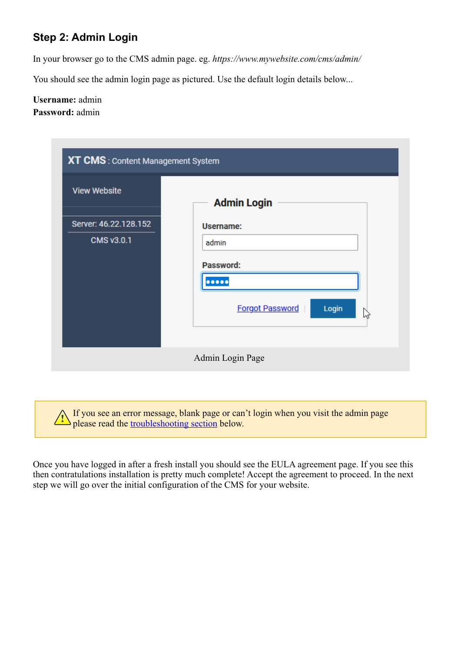### <span id="page-2-0"></span>**Step 2: Admin Login**

In your browser go to the CMS admin page. eg. *https://www.mywebsite.com/cms/admin/*

You should see the admin login page as pictured. Use the default login details below...

#### **Username:** admin **Password:** admin

| <b>View Website</b>   | <b>Admin Login</b>                   |
|-----------------------|--------------------------------------|
| Server: 46.22.128.152 | Username:                            |
| <b>CMS v3.0.1</b>     | admin                                |
|                       | Password:                            |
|                       |                                      |
|                       | <b>Forgot Password</b><br>Login<br>B |

**!** If you see an error message, blank page or can't login when you visit the admin page please read the [troubleshooting section](#page-6-0) below.

Once you have logged in after a fresh install you should see the EULA agreement page. If you see this then contratulations installation is pretty much complete! Accept the agreement to proceed. In the next step we will go over the initial configuration of the CMS for your website.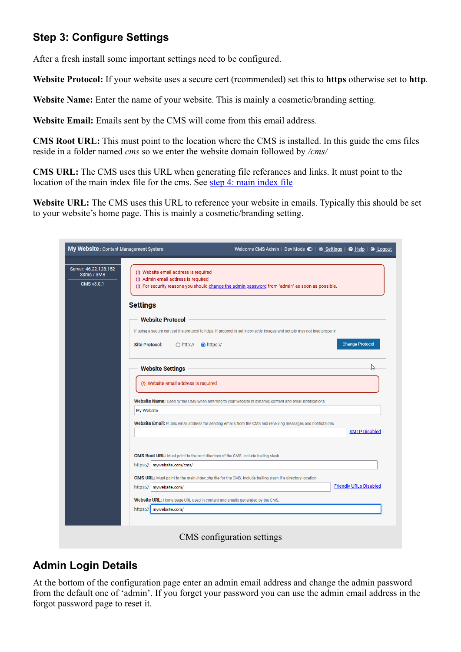## <span id="page-3-0"></span>**Step 3: Configure Settings**

After a fresh install some important settings need to be configured.

**Website Protocol:** If your website uses a secure cert (rcommended) set this to **https** otherwise set to **http**.

**Website Name:** Enter the name of your website. This is mainly a cosmetic/branding setting.

**Website Email:** Emails sent by the CMS will come from this email address.

**CMS Root URL:** This must point to the location where the CMS is installed. In this guide the cms files reside in a folder named *cms* so we enter the website domain followed by */cms/*

**CMS URL:** The CMS uses this URL when generating file referances and links. It must point to the location of the main index file for the cms. See [step 4: main index file](#page-4-0)

Website URL: The CMS uses this URL to reference your website in emails. Typically this should be set to your website's home page. This is mainly a cosmetic/branding setting.

| My Website: Content Management System                    |                                                                                                                                                                                 |  | Welcome CMS Admin   Dev Mode $\bigcirc$   $\bigcirc$ Settings   $\bigcirc$ Help   $\bigcirc$ Logout |
|----------------------------------------------------------|---------------------------------------------------------------------------------------------------------------------------------------------------------------------------------|--|-----------------------------------------------------------------------------------------------------|
| Server: 46.22.128.152<br>33ms / 3MB<br><b>CMS v3.0.1</b> | (!) Website email address is required<br>(!) Admin email address is required<br>(!) For security reasons you should change the admin password from "admin" as soon as possible. |  |                                                                                                     |
| <b>Settings</b>                                          |                                                                                                                                                                                 |  |                                                                                                     |
|                                                          | <b>Website Protocol</b>                                                                                                                                                         |  |                                                                                                     |
|                                                          | If using a secure cert set the protocol to https. If protocol is set incorrectly images and scripts may not load properly.                                                      |  |                                                                                                     |
| <b>Site Protocol:</b>                                    | $\bigcirc$ http:// $\bigcirc$ https://                                                                                                                                          |  | <b>Change Protocol</b>                                                                              |
|                                                          | <b>Website Settings</b>                                                                                                                                                         |  |                                                                                                     |
|                                                          | (!) Website email address is required                                                                                                                                           |  |                                                                                                     |
|                                                          | Website Name: Used by the CMS when referring to your website in dynamic content and email notifications                                                                         |  |                                                                                                     |
| My Website                                               |                                                                                                                                                                                 |  |                                                                                                     |
|                                                          | Website Email: Public email address for sending emails from the CMS and receiving messages and notifictaions                                                                    |  | <b>SMTP Disabled</b>                                                                                |
|                                                          | <b>CMS Root URL:</b> Must point to the root directory of the CMS. Include trailing slash.                                                                                       |  |                                                                                                     |
|                                                          | https://   mywebsite.com/cms/                                                                                                                                                   |  |                                                                                                     |
|                                                          | <b>CMS URL:</b> Must point to the main index.php file for the CMS. Include trailing slash if a directory location.                                                              |  |                                                                                                     |
|                                                          | https://   mywebsite.com/                                                                                                                                                       |  | <b>Friendly URLs Disabled</b>                                                                       |
|                                                          | Website URL: Home page URL used in content and emails generated by the CMS.                                                                                                     |  |                                                                                                     |
| https://                                                 | mywebsite.com/                                                                                                                                                                  |  |                                                                                                     |
|                                                          |                                                                                                                                                                                 |  |                                                                                                     |

### **Admin Login Details**

At the bottom of the configuration page enter an admin email address and change the admin password from the default one of 'admin'. If you forget your password you can use the admin email address in the forgot password page to reset it.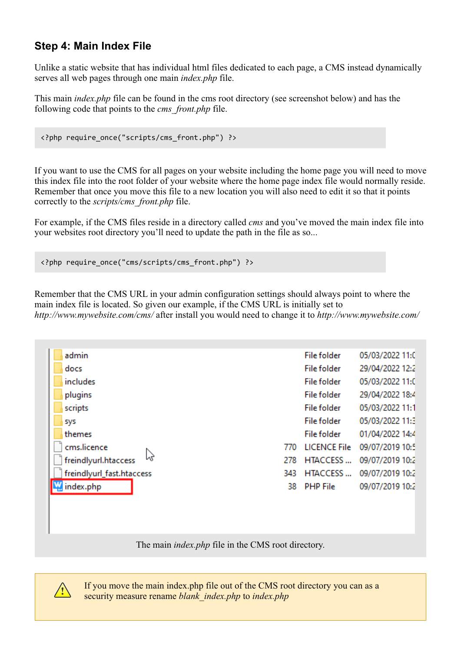### <span id="page-4-0"></span>**Step 4: Main Index File**

Unlike a static website that has individual html files dedicated to each page, a CMS instead dynamically serves all web pages through one main *index.php* file.

This main *index.php* file can be found in the cms root directory (see screenshot below) and has the following code that points to the *cms\_front.php* file.

```
<?php require_once("scripts/cms_front.php") ?>
```
If you want to use the CMS for all pages on your website including the home page you will need to move this index file into the root folder of your website where the home page index file would normally reside. Remember that once you move this file to a new location you will also need to edit it so that it points correctly to the *scripts/cms\_front.php* file.

For example, if the CMS files reside in a directory called *cms* and you've moved the main index file into your websites root directory you'll need to update the path in the file as so...

```
<?php require_once("cms/scripts/cms_front.php") ?>
```
Remember that the CMS URL in your admin configuration settings should always point to where the main index file is located. So given our example, if the CMS URL is initially set to *http://www.mywebsite.com/cms/* after install you would need to change it to *http://www.mywebsite.com/*

| admin                     |     | <b>File folder</b>  | 05/03/2022 11:0 |
|---------------------------|-----|---------------------|-----------------|
| docs                      |     | <b>File folder</b>  | 29/04/2022 12:2 |
| includes                  |     | <b>File folder</b>  | 05/03/2022 11:0 |
| plugins                   |     | File folder         | 29/04/2022 18:4 |
| scripts                   |     | <b>File folder</b>  | 05/03/2022 11:1 |
| sys                       |     | <b>File folder</b>  | 05/03/2022 11:3 |
| themes                    |     | File folder         | 01/04/2022 14:4 |
| cms.licence               | 770 | <b>LICENCE File</b> | 09/07/2019 10:5 |
| freindlyurl.htaccess      | 278 | <b>HTACCESS</b>     | 09/07/2019 10:2 |
| freindlyurl_fast.htaccess | 343 | <b>HTACCESS</b>     | 09/07/2019 10:2 |
| index.php                 | 38  | <b>PHP File</b>     | 09/07/2019 10:2 |
|                           |     |                     |                 |
|                           |     |                     |                 |
|                           |     |                     |                 |

The main *index.php* file in the CMS root directory.



If you move the main index.php file out of the CMS root directory you can as a security measure rename *blank\_index.php* to *index.php*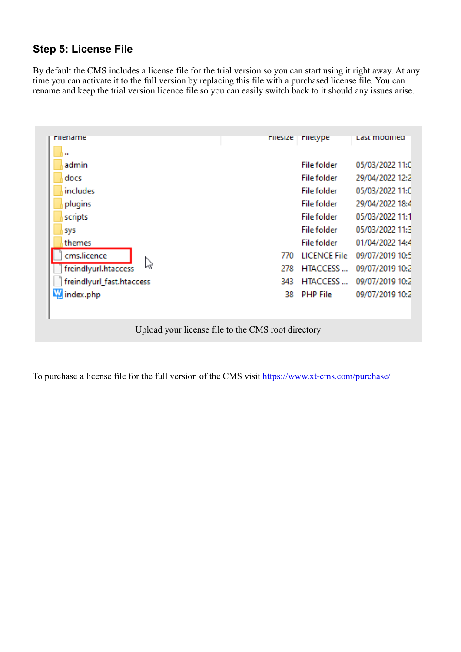### <span id="page-5-0"></span>**Step 5: License File**

By default the CMS includes a license file for the trial version so you can start using it right away. At any time you can activate it to the full version by replacing this file with a purchased license file. You can rename and keep the trial version licence file so you can easily switch back to it should any issues arise.

| <b>Filesize</b> | Filetype            | Last modified   |
|-----------------|---------------------|-----------------|
|                 |                     |                 |
|                 | <b>File folder</b>  | 05/03/2022 11:0 |
|                 | <b>File folder</b>  | 29/04/2022 12:2 |
|                 | <b>File folder</b>  | 05/03/2022 11:0 |
|                 | <b>File folder</b>  | 29/04/2022 18:4 |
|                 | File folder         | 05/03/2022 11:1 |
|                 | <b>File folder</b>  | 05/03/2022 11:3 |
|                 | <b>File folder</b>  | 01/04/2022 14:4 |
| 770             | <b>LICENCE File</b> | 09/07/2019 10:5 |
| 278             | <b>HTACCESS</b>     | 09/07/2019 10:2 |
| 343             | HTACCESS            | 09/07/2019 10:2 |
| 38              | <b>PHP File</b>     | 09/07/2019 10:2 |
|                 |                     |                 |
|                 |                     |                 |

To purchase a license file for the full version of the CMS visit<https://www.xt-cms.com/purchase/>